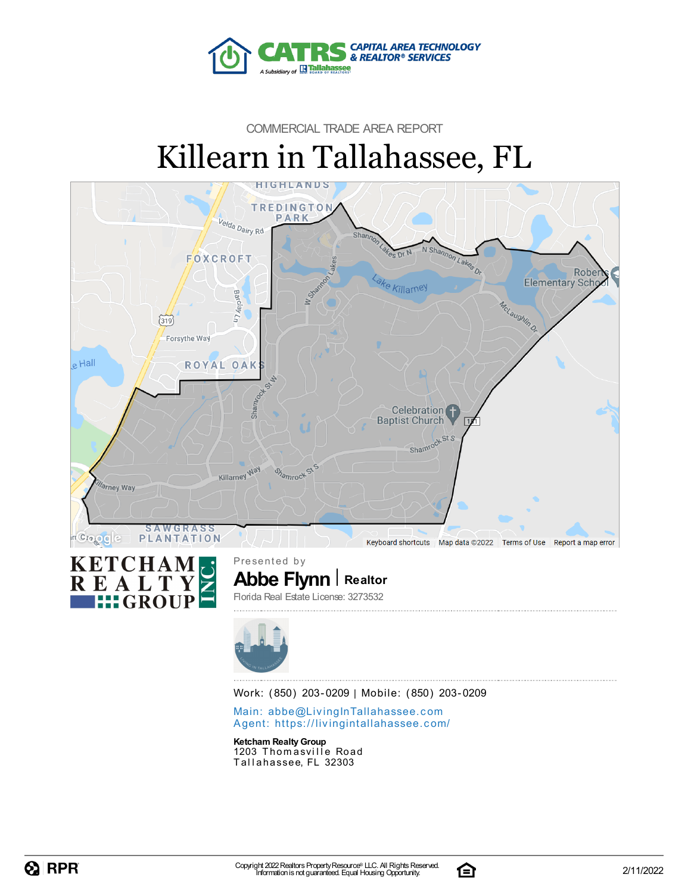

# COMMERCIAL TRADE AREA REPORT Killearn in Tallahassee, FL





**Abbe Flynn Realtor** Presented by Florida Real Estate License: 3273532



Work: (850) 203-0209 | Mobile: (850) 203-0209

Main: abbe@LivingInTallaha[sse](mailto:abbe@LivingInTallahassee.com)e.com Agent: https://livingintallaha[sse](https://livingintallahassee.com/)e.com/

**Ketcham RealtyGroup** 1203 Thomasville Road Tallahassee, FL 32303

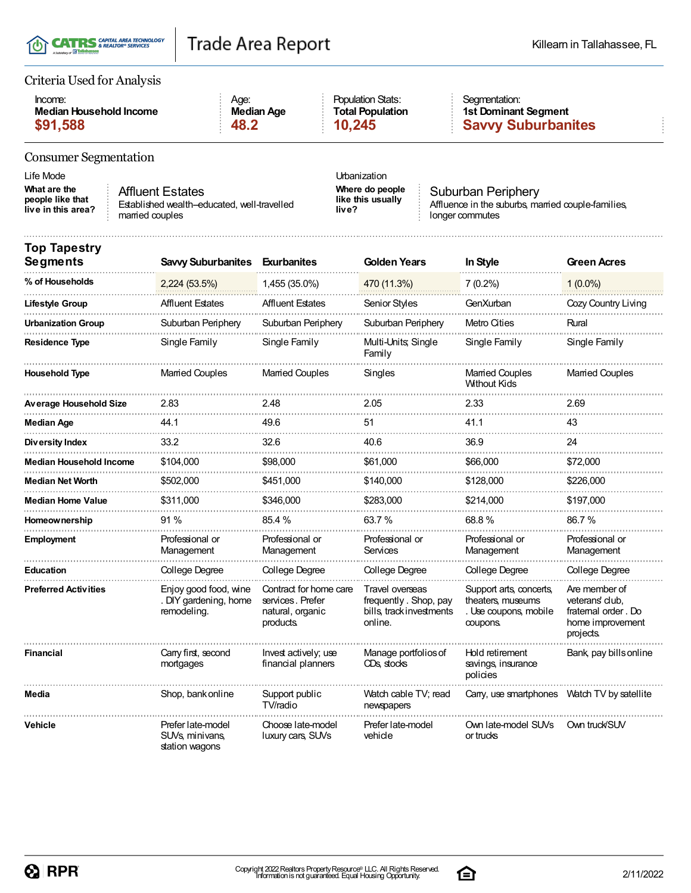|  | T(I) CATRS & REALTOR® SERVICES<br>A Subsidiary of La Tallahassee |
|--|------------------------------------------------------------------|
|--|------------------------------------------------------------------|

#### Criteria Used for Analysis

| Income:                 | Age:              | <b>Population Stats:</b> | Seamentation:             |
|-------------------------|-------------------|--------------------------|---------------------------|
| Median Household Income | <b>Median Age</b> | <b>Total Population</b>  | 1st Dominant Segment      |
| \$91,588                | 48.2              | 10.245                   | <b>Savvy Suburbanites</b> |

### Consumer Segmentation

Life Mode Urbanization **What are the people like that live in this area?** Affluent Estates

Established wealth-educated, well-travelled married couples

**Where do people like this usually live?**

Suburban Periphery Affluence in the suburbs, married couple-families, longer commutes

| <b>Top Tapestry</b><br><b>Segments</b> | <b>Savvy Suburbanites</b>                                         | <b>Exurbanites</b>                                                          | <b>Golden Years</b>                                                             | In Style                                                                          | <b>Green Acres</b>                                                                     |
|----------------------------------------|-------------------------------------------------------------------|-----------------------------------------------------------------------------|---------------------------------------------------------------------------------|-----------------------------------------------------------------------------------|----------------------------------------------------------------------------------------|
| % of Households                        | 2,224 (53.5%)                                                     | 1,455 (35.0%)                                                               | 470 (11.3%)                                                                     | $7(0.2\%)$                                                                        | $1(0.0\%)$                                                                             |
| Lifestyle Group                        | <b>Affluent Estates</b>                                           | <b>Affluent Estates</b>                                                     | Senior Styles                                                                   | GenXurban                                                                         | Cozy Country Living                                                                    |
| <b>Urbanization Group</b>              | Suburban Periphery                                                | Suburban Periphery                                                          | Suburban Periphery                                                              | Metro Cities                                                                      | Rural                                                                                  |
| <b>Residence Type</b>                  | Single Family                                                     | Single Family                                                               | Multi-Units, Single<br>Family                                                   | Single Family                                                                     | Single Family                                                                          |
| <b>Household Type</b>                  | <b>Married Couples</b>                                            | <b>Married Couples</b>                                                      | Singles                                                                         | <b>Married Couples</b><br><b>Without Kids</b>                                     | <b>Married Couples</b>                                                                 |
| <b>Average Household Size</b>          | 2.83                                                              | 2.48                                                                        | 2.05                                                                            | 2.33                                                                              | 2.69                                                                                   |
| <b>Median Age</b>                      | 44.1                                                              | 49.6                                                                        | 51                                                                              | 41.1                                                                              | 43                                                                                     |
| Diversity Index                        | 33.2                                                              | 32.6                                                                        | 40.6                                                                            | 36.9                                                                              | 24                                                                                     |
| <b>Median Household Income</b>         | \$104,000                                                         | \$98,000                                                                    | \$61,000                                                                        | \$66.000                                                                          | \$72,000                                                                               |
| <b>Median Net Worth</b>                | \$502,000                                                         | \$451,000                                                                   | \$140,000                                                                       | \$128,000                                                                         | \$226,000                                                                              |
| <b>Median Home Value</b>               | \$311,000                                                         | \$346,000                                                                   | \$283,000                                                                       | \$214,000                                                                         | \$197,000                                                                              |
| <b>Homeownership</b>                   | 91%                                                               | 85.4%                                                                       | 63.7%                                                                           | 68.8%                                                                             | 86.7%                                                                                  |
| <b>Employment</b>                      | Professional or<br>Management                                     | Professional or<br>Management                                               | Professional or<br>Services                                                     | Professional or<br>Management                                                     | Professional or<br>Management                                                          |
| <b>Education</b>                       | College Degree                                                    | College Degree                                                              | College Degree                                                                  | College Degree                                                                    | College Degree                                                                         |
| <b>Preferred Activities</b>            | Enjoy good food, wine<br>. DIY gardening, home<br>remodeling.     | Contract for home care<br>services, Prefer<br>natural, organic<br>products. | Travel overseas<br>frequently. Shop, pay<br>bills, track investments<br>online. | Support arts, concerts,<br>theaters, museums<br>. Use coupons, mobile<br>coupons. | Are member of<br>veterans' club.<br>fratemal order, Do<br>home improvement<br>projects |
| <b>Financial</b>                       | Carry first, second<br>mortgages                                  | Invest actively; use<br>financial planners                                  | Manage portfolios of<br>CD <sub>S</sub> stocks                                  | Hold retirement<br>savings, insurance<br>policies                                 | Bank, pay bills online                                                                 |
| Media                                  | Shop, bank online                                                 | Support public<br>TV/radio                                                  | Watch cable TV; read<br>newspapers                                              | Carry, use smartphones                                                            | Watch TV by satellite                                                                  |
| <b>Vehicle</b>                         | Prefer late-model<br>SUV <sub>s</sub> minivans,<br>station waqons | Choose late-model<br>luxury cars, SUVs                                      | Prefer late-model<br>vehicle                                                    | Own late-model SUVs<br>or trucks                                                  | Own truck/SUV                                                                          |

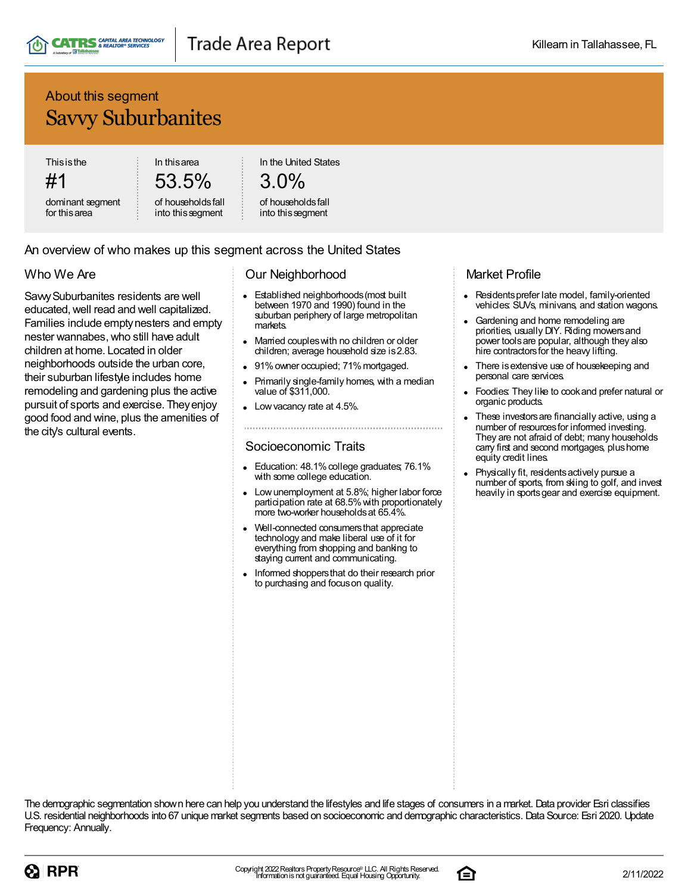

## About this segment Savvy Suburbanites

**Thisisthe** 

#1

dominant segment for thisarea

53.5% of householdsfall

into thissegment

In thisarea

In the United States

# 3.0%

#### of householdsfall into thissegment

#### An overview of who makes up this segment across the United States

### Who We Are

SavvySuburbanites residents are well educated,well read and well capitalized. Families include emptynesters and empty nester wannabes,who still have adult children at home. Located in older neighborhoods outside the urban core, their suburban lifestyle includes home remodeling and gardening plus the active pursuit of sports and exercise. Theyenjoy good food and wine, plus the amenities of the city's cultural events.

#### Our Neighborhood

- Established neighborhoods(most built  $\bullet$ between 1970 and 1990) found in the suburban periphery of large metropolitan markets.
- Married coupleswith no children or older children; average household size is2.83.
- 91% owner occupied; 71% mortgaged.
- Primarily single-family homes, with a median value of \$311,000.
- Low vacancy rate at 4.5%.

#### Socioeconomic Traits

- Education: 48.1% college graduates; 76.1% with some college education.
- Low unemployment at 5.8%; higher labor force participation rate at 68.5% with proportionately more two-worker householdsat 65.4%.
- Well-connected consumersthat appreciate technology and make liberal use of it for everything from shopping and banking to staying current and communicating.
- Informed shoppers that do their research prior to purchasing and focuson quality.

### Market Profile

- Residents prefer late model, family-oriented vehicles: SUVs, minivans, and station wagons.
- Gardening and home remodeling are priorities, usually DIY. Riding mowersand power toolsare popular, although they also hire contractors for the heavy lifting.
- There isextensive use of housekeeping and personal care services.
- Foodies: They like to cookand prefer natural or organic products.
- These investors are financially active, using a number of resources for informed investing. They are not afraid of debt; many households carry first and second mortgages, plushome equity credit lines.
- Physically fit, residentsactively pursue a number of sports, from skiing to golf, and invest heavily in sports gear and exercise equipment.



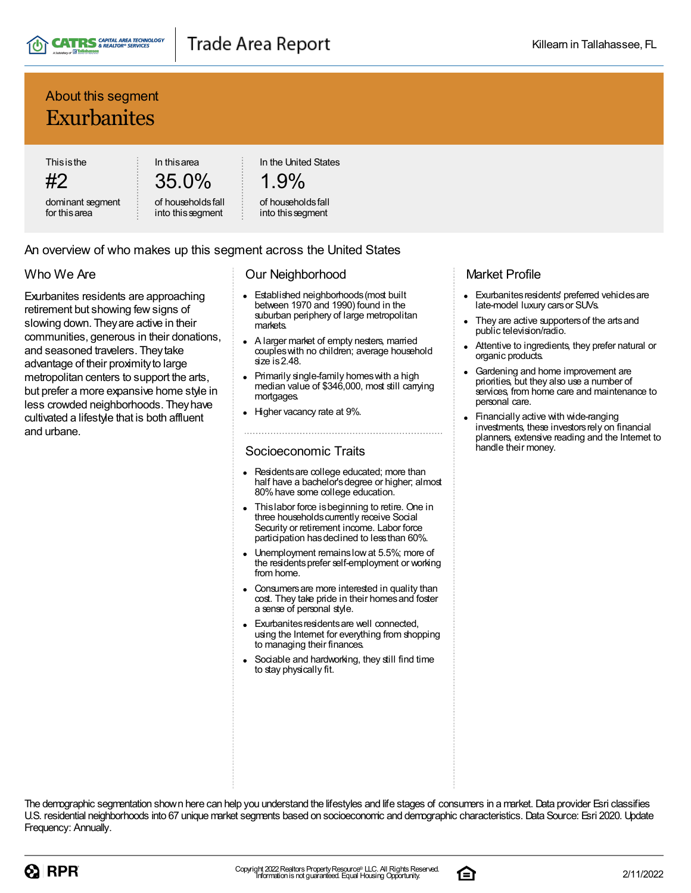

## About this segment Exurbanites

**Thisisthe** 

#2 dominant segment for thisarea

35.0% of householdsfall

into thissegment

In thisarea

In the United States

# 1.9%

#### of householdsfall into thissegment

#### An overview of who makes up this segment across the United States

### Who We Are

Exurbanites residents are approaching retirement but showing fewsigns of slowing down. Theyare active in their communities, generous in their donations, and seasoned travelers. Theytake advantage of their proximity to large metropolitan centers to support the arts, but prefer a more expansive home style in less crowded neighborhoods. Theyhave cultivated a lifestyle that is both affluent and urbane.

#### Our Neighborhood

- Established neighborhoods(most built between 1970 and 1990) found in the suburban periphery of large metropolitan markets.
- A larger market of empty nesters, married coupleswith no children; average household size is 2.48.
- Primarily single-family homes with a high median value of \$346,000, most still carrying mortgages.
- Higher vacancy rate at 9%.

#### Socioeconomic Traits

- Residentsare college educated; more than half have a bachelor's degree or higher; almost 80%have some college education.
- Thislabor force isbeginning to retire. One in three households currently receive Social Security or retirement income. Labor force participation has declined to less than 60%.
- Unemployment remainslowat 5.5%; more of the residentsprefer self-employment or working from home.
- Consumersare more interested in quality than cost. They take pride in their homes and foster a sense of personal style.
- Exurbanites residents are well connected, using the Internet for everything from shopping to managing their finances.
- Sociable and hardworking, they still find time to stay physically fit.

### Market Profile

- Exurbanites residents' preferred vehicles are late-model luxury carsor SUVs.
- They are active supporters of the arts and public television/radio.
- Attentive to ingredients, they prefer natural or organic products.
- Gardening and home improvement are priorities, but they also use a number of services, from home care and maintenance to personal care.
- Financially active with wide-ranging investments, these investors rely on financial planners, extensive reading and the Internet to handle their money.



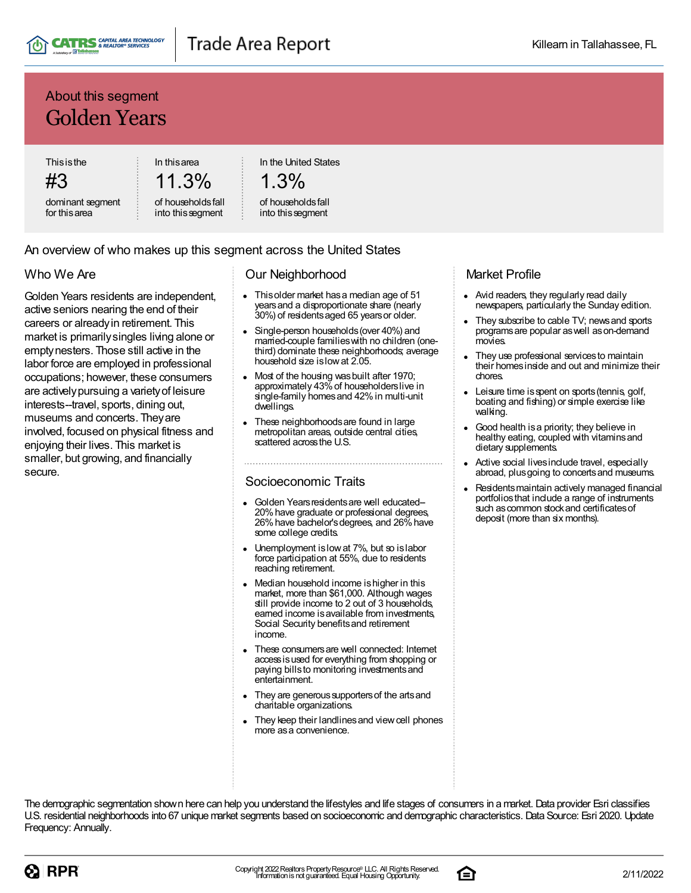

## About this segment Golden Years

**Thisisthe** #3

dominant segment for thisarea

11.3% of householdsfall

into thissegment

In thisarea

In the United States

$$
1.3\%
$$

#### of householdsfall into thissegment

#### An overview of who makes up this segment across the United States

### Who We Are

Golden Years residents are independent, active seniors nearing the end of their careers or alreadyin retirement. This market is primarilysingles living alone or emptynesters. Those still active in the labor force are employed in professional occupations; however, these consumers are activelypursuing a varietyof leisure interests--travel, sports, dining out, museums and concerts. Theyare involved, focused on physical fitness and enjoying their lives. This market is smaller, but growing, and financially secure.

#### Our Neighborhood

- Thisolder market hasa median age of 51 yearsand a disproportionate share (nearly 30%) of residentsaged 65 yearsor older.
- Single-person households(over 40%) and married-couple familieswith no children (onethird) dominate these neighborhoods; average household size islowat 2.05.
- Most of the housing wasbuilt after 1970; approximately 43%of householderslive in single-family homesand 42%in multi-unit dwellings.
- These neighborhoodsare found in large metropolitan areas, outside central cities, scattered acrossthe U.S.

#### Socioeconomic Traits

- Golden Years residents are well educated-20%have graduate or professional degrees, 26%have bachelor'sdegrees, and 26%have some college credits.
- Unemployment islowat 7%, but so islabor force participation at 55%, due to residents reaching retirement.
- Median household income ishigher in this market, more than \$61,000. Although wages still provide income to 2 out of 3 households, earned income is available from investments, Social Security benefitsand retirement income.
- These consumers are well connected: Internet accessisused for everything from shopping or paying bills to monitoring investments and entertainment.
- They are generous supporters of the arts and charitable organizations.
- They keep their landlinesand viewcell phones more asa convenience.

#### Market Profile

- Avid readers, they regularly read daily newspapers, particularly the Sunday edition.
- They subscribe to cable TV; newsand sports programsare popular aswell ason-demand movies.
- They use professional servicesto maintain their homesinside and out and minimize their chores.
- Leisure time is spent on sports (tennis, golf, boating and fishing) or simple exercise like walking.
- Good health isa priority; they believe in healthy eating, coupled with vitaminsand dietary supplements.
- Active social lives include travel, especially abroad, plusgoing to concertsand museums.
- Residentsmaintain actively managed financial portfoliosthat include a range of instruments such as common stock and certificates of deposit (more than six months).



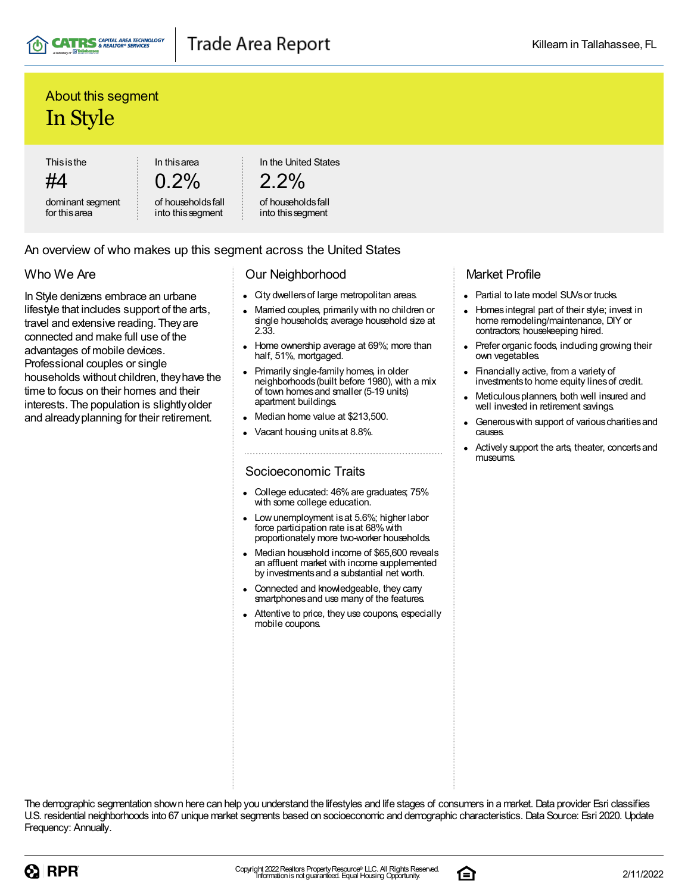

## About this segment In Style

**Thisisthe** 

#4 dominant segment for thisarea

 $0.2\%$ 

In thisarea

In the United States

```
2.2%
```
of householdsfall into thissegment

of householdsfall into thissegment

### An overview of who makes up this segment across the United States

### Who We Are

In Style denizens embrace an urbane lifestyle that includes support of the arts, travel and extensive reading. Theyare connected and make full use of the advantages of mobile devices. Professional couples or single households without children, theyhave the time to focus on their homes and their interests. The population is slightlyolder and alreadyplanning for their retirement.

#### Our Neighborhood

- City dwellersof large metropolitan areas.
- Married couples, primarily with no children or single households; average household size at 2.33.
- Home ownership average at 69%; more than half, 51%, mortgaged.
- Primarily single-family homes, in older neighborhoods(built before 1980), with a mix of town homesand smaller (5-19 units) apartment buildings.
- Median home value at \$213,500.
- Vacant housing unitsat 8.8%.

### Socioeconomic Traits

- College educated: 46%are graduates; 75% with some college education.
- Lowunemployment isat 5.6%; higher labor force participation rate is at 68% with proportionately more two-worker households.
- Median household income of \$65,600 reveals an affluent market with income supplemented by investmentsand a substantial net worth.
- Connected and knowledgeable, they carry smartphones and use many of the features.
- Attentive to price, they use coupons, especially mobile coupons.

### Market Profile

- Partial to late model SUVs or trucks.
- Homes integral part of their style; invest in  $\bullet$ home remodeling/maintenance, DIY or contractors; housekeeping hired.
- Prefer organic foods, including growing their own vegetables.
- Financially active, from a variety of investments to home equity lines of credit.
- Meticulousplanners, both well insured and well invested in retirement savings.
- Generous with support of various charities and causes.
- Actively support the arts, theater, concertsand museums.



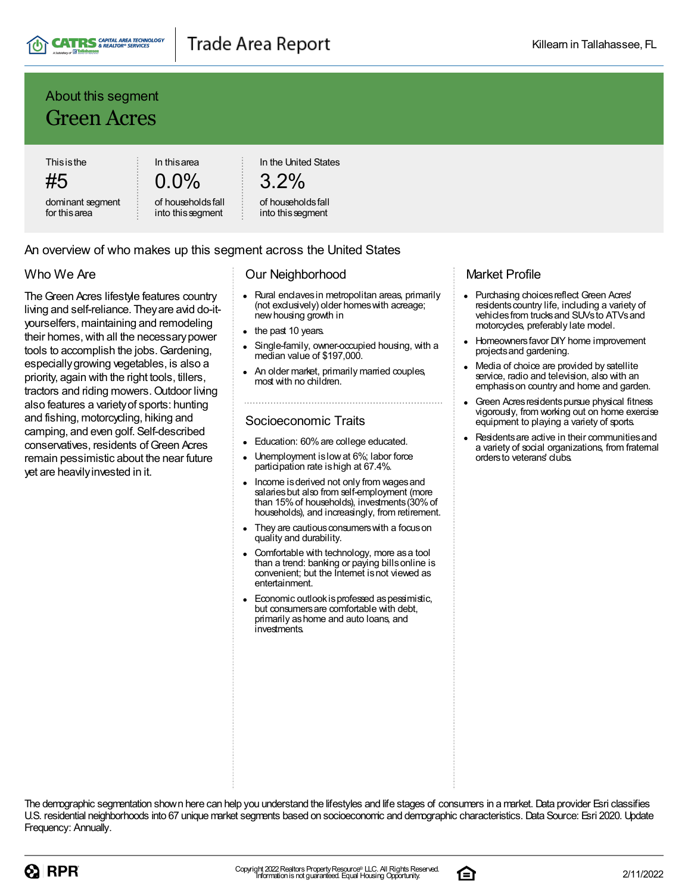

### About this segment Green Acres

**Thisisthe** 

#5 dominant segment for thisarea

0.0% of householdsfall

into thissegment

In thisarea

In the United States

# 3.2%

#### of householdsfall into thissegment

#### An overview of who makes up this segment across the United States

#### Who We Are

The Green Acres lifestyle features country living and self-reliance. Theyare avid do-ityourselfers, maintaining and remodeling their homes, with all the necessary power tools to accomplish the jobs.Gardening, especiallygrowing vegetables, is also a priority, again with the right tools, tillers, tractors and riding mowers. Outdoor living also features a varietyof sports: hunting and fishing, motorcycling, hiking and camping, and even golf. Self-described conservatives, residents of Green Acres remain pessimistic about the near future yet are heavilyinvested in it.

#### Our Neighborhood

- Rural enclaves in metropolitan areas, primarily (not exclusively) older homeswith acreage; newhousing growth in
- the past 10 years.
- Single-family, owner-occupied housing, with a median value of \$197,000.
- An older market, primarily married couples, most with no children.

### Socioeconomic Traits

- Education: 60% are college educated.
- Unemployment is low at 6%; labor force participation rate ishigh at 67.4%.
- Income isderived not only from wagesand salariesbut also from self-employment (more than 15%of households), investments(30%of households), and increasingly, from retirement.
- They are cautious consumers with a focus on quality and durability.
- Comfortable with technology, more asa tool than a trend: banking or paying billsonline is convenient; but the Internet isnot viewed as entertainment.
- Economic outlook is professed as pessimistic, but consumersare comfortable with debt, primarily ashome and auto loans, and investments.

#### Market Profile

- Purchasing choicesreflect Green Acres' residents country life, including a variety of vehiclesfrom trucksand SUVsto ATVsand motorcycles, preferably late model.
- Homeownersfavor DIY home improvement projectsand gardening.
- Media of choice are provided by satellite service, radio and television, also with an emphasison country and home and garden.
- Green Acres residents pursue physical fitness vigorously, from working out on home exercise equipment to playing a variety of sports.
- Residentsare active in their communitiesand a variety of social organizations, from fraternal orders to veterans' clubs.



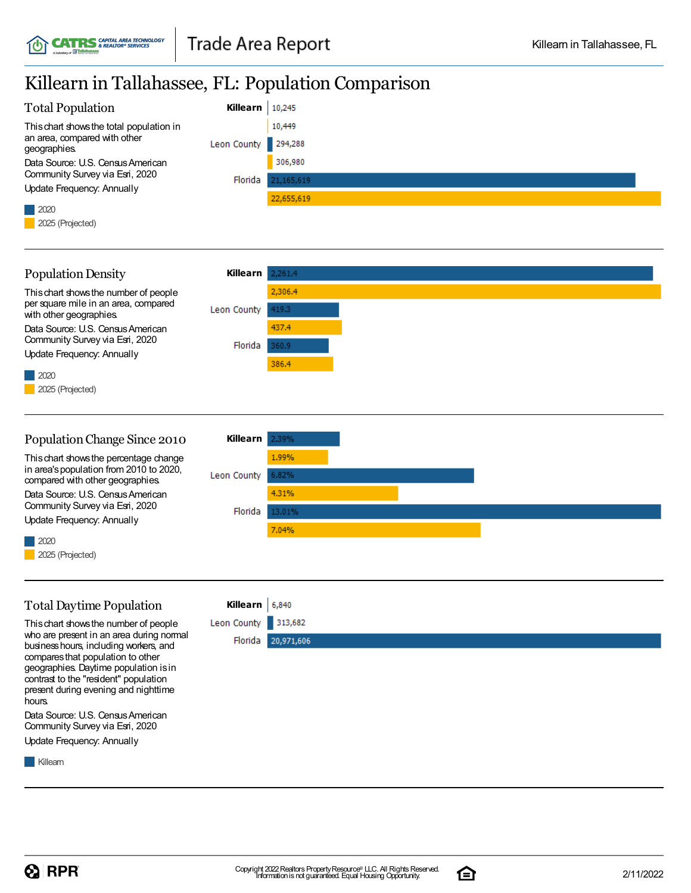## Killearn in Tallahassee, FL: Population Comparison

| <b>Total Population</b>                      | Killearn            | 10,245     |
|----------------------------------------------|---------------------|------------|
| This chart shows the total population in     |                     | 10,449     |
| an area, compared with other<br>geographies. | Leon County 294,288 |            |
| Data Source: U.S. Census American            |                     | 306,980    |
| Community Survey via Esri, 2020              | Florida             | 21,165,619 |
| Update Frequency: Annually                   |                     |            |
|                                              |                     | 22,655,619 |
|                                              |                     |            |
| 2025 (Projected)                             |                     |            |

| <b>Population Density</b>                                                     | Killearn            | 2,261.4 |
|-------------------------------------------------------------------------------|---------------------|---------|
| This chart shows the number of people<br>per square mile in an area, compared |                     | 2,306.4 |
| with other geographies.                                                       | Leon County         | 419.3   |
| Data Source: U.S. Census American                                             |                     | 437.4   |
| Community Survey via Esri, 2020                                               | Florida             | 360.9   |
| Update Frequency: Annually                                                    |                     | 386.4   |
| $\vert$ 2020                                                                  |                     |         |
| 2025 (Projected)                                                              |                     |         |
|                                                                               |                     |         |
|                                                                               |                     |         |
| Dopulation Change Cines 0010                                                  | $V$ illoown la 2004 |         |

| Population Change Since 2010                                                | Killearn    | 2.39%  |  |
|-----------------------------------------------------------------------------|-------------|--------|--|
| This chart shows the percentage change                                      |             | 1.99%  |  |
| in area's population from 2010 to 2020,<br>compared with other geographies. | Leon County | 6.82%  |  |
| Data Source: U.S. Census American                                           |             | 4.31%  |  |
| Community Survey via Esri, 2020<br>Update Frequency: Annually               | Florida     | 13.01% |  |
|                                                                             |             | 7.04%  |  |
| $\blacksquare$ 2020                                                         |             |        |  |
| 2025 (Projected)                                                            |             |        |  |

### TotalDaytime Population

Thischart showsthe number of people who are present in an area during normal business hours, including workers, and comparesthat population to other geographies. Daytime population isin contrast to the "resident" population present during evening and nighttime hours.

Data Source: U.S. CensusAmerican Community Survey via Esri, 2020

Update Frequency: Annually

**Killearn** 



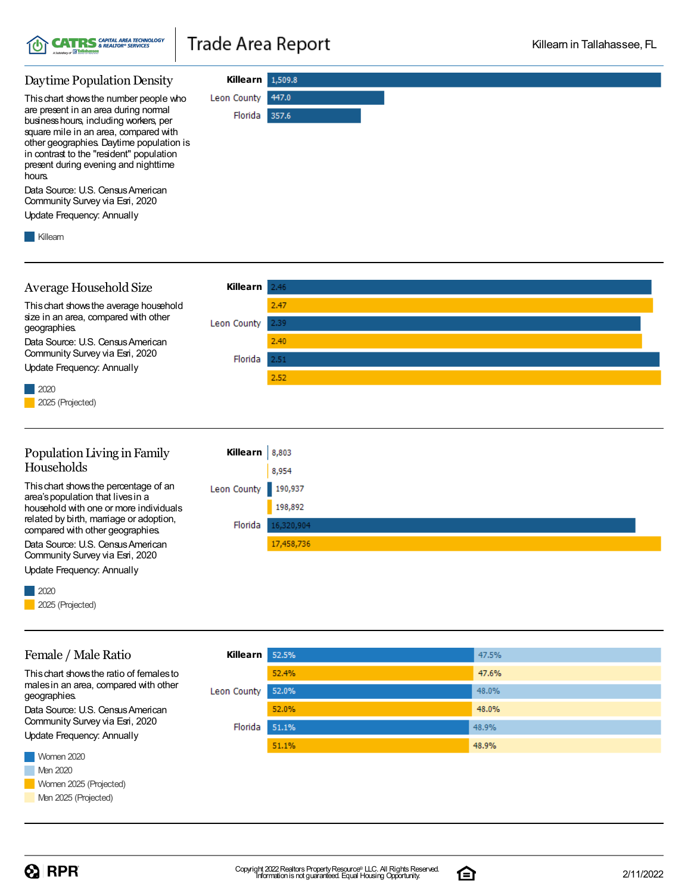

**Killearn** 1,509.8

Florida 357.6

447.0

Leon County

#### Daytime Population Density

Thischart showsthe number people who are present in an area during normal businesshours, including workers, per square mile in an area, compared with other geographies. Daytime population is in contrast to the "resident" population present during evening and nighttime hours.

Data Source: U.S. Census American Community Survey via Esri, 2020

Update Frequency: Annually

**Killearn** 



17,458,736

compared with other geographies. Data Source: U.S. Census American Community Survey via Esri, 2020

Update Frequency: Annually

#### 2020 2025 (Projected)

#### **Killearn** 52.5% 47.5% 52.4% 47.6% 52.0% 48.0% Leon County 52.0% 48.0% Florida 51.1% 48.9% 48.9% 51.1%

#### Thischart showsthe ratio of femalesto malesin an area, compared with other geographies.

Female / Male Ratio

Data Source: U.S. Census American Community Survey via Esri, 2020

Update Frequency: Annually

Women 2020 **Men 2020** Women 2025 (Projected) Men 2025 (Projected)

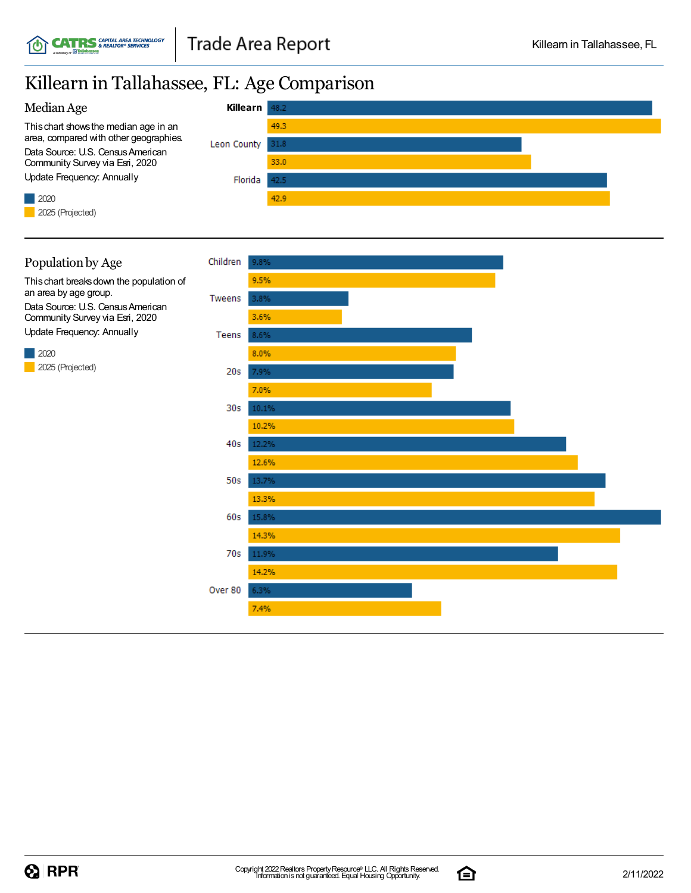## Killearn in Tallahassee, FL: Age Comparison



#### Population by Age

Thischart breaksdown the population of an area by age group. Data Source: U.S. Census American Community Survey via Esri, 2020 Update Frequency: Annually

2020 2025 (Projected)



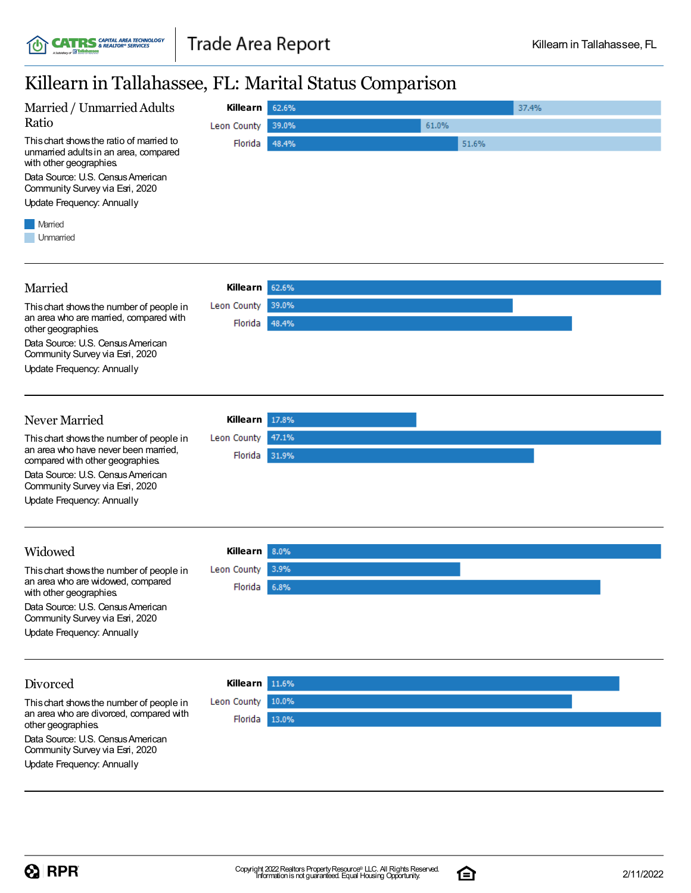## Killearn in Tallahassee, FL: Marital Status Comparison

| Killearii ili Tallanassee, FL. Marital Status Comparison                                                                                                                                                                  |                             |              |       |       |  |
|---------------------------------------------------------------------------------------------------------------------------------------------------------------------------------------------------------------------------|-----------------------------|--------------|-------|-------|--|
| Married / Unmarried Adults                                                                                                                                                                                                | <b>Killearn</b>             | 62.6%        |       | 37.4% |  |
| Ratio                                                                                                                                                                                                                     | Leon County                 | 39.0%        | 61.0% |       |  |
| This chart shows the ratio of married to<br>unmarried adults in an area, compared<br>with other geographies.<br>Data Source: U.S. Census American<br>Community Survey via Esri, 2020<br><b>Update Frequency: Annually</b> | Florida                     | 48.4%        | 51.6% |       |  |
| Married<br>Unmarried                                                                                                                                                                                                      |                             |              |       |       |  |
| Married                                                                                                                                                                                                                   | Killearn                    | 62.6%        |       |       |  |
| This chart shows the number of people in                                                                                                                                                                                  | Leon County                 | 39.0%        |       |       |  |
| an area who are married, compared with<br>other geographies.                                                                                                                                                              | Florida                     | 48.4%        |       |       |  |
| Data Source: U.S. Census American<br>Community Survey via Esri, 2020                                                                                                                                                      |                             |              |       |       |  |
| <b>Update Frequency: Annually</b>                                                                                                                                                                                         |                             |              |       |       |  |
| Never Married                                                                                                                                                                                                             | Killearn                    | 17.8%        |       |       |  |
| This chart shows the number of people in                                                                                                                                                                                  | Leon County                 | 47.1%        |       |       |  |
| an area who have never been married,<br>compared with other geographies.                                                                                                                                                  | Florida                     | 31.9%        |       |       |  |
| Data Source: U.S. Census American<br>Community Survey via Esri, 2020                                                                                                                                                      |                             |              |       |       |  |
| <b>Update Frequency: Annually</b>                                                                                                                                                                                         |                             |              |       |       |  |
| Widowed                                                                                                                                                                                                                   |                             |              |       |       |  |
|                                                                                                                                                                                                                           | Killearn                    | 8.0%<br>3.9% |       |       |  |
| This chart shows the number of people in<br>an area who are widowed, compared<br>with other geographies.                                                                                                                  | Leon County<br>Florida 6.8% |              |       |       |  |
| Data Source: U.S. Census American<br>Community Survey via Esri, 2020                                                                                                                                                      |                             |              |       |       |  |
| <b>Update Frequency: Annually</b>                                                                                                                                                                                         |                             |              |       |       |  |
| Divorced                                                                                                                                                                                                                  | Killearn                    | 11.6%        |       |       |  |
| This chart shows the number of people in                                                                                                                                                                                  | Leon County                 | 10.0%        |       |       |  |
| an area who are divorced, compared with<br>other geographies.                                                                                                                                                             | Florida                     | 13.0%        |       |       |  |
| Data Source: U.S. Census American<br>Community Survey via Esri, 2020                                                                                                                                                      |                             |              |       |       |  |
| Update Frequency: Annually                                                                                                                                                                                                |                             |              |       |       |  |

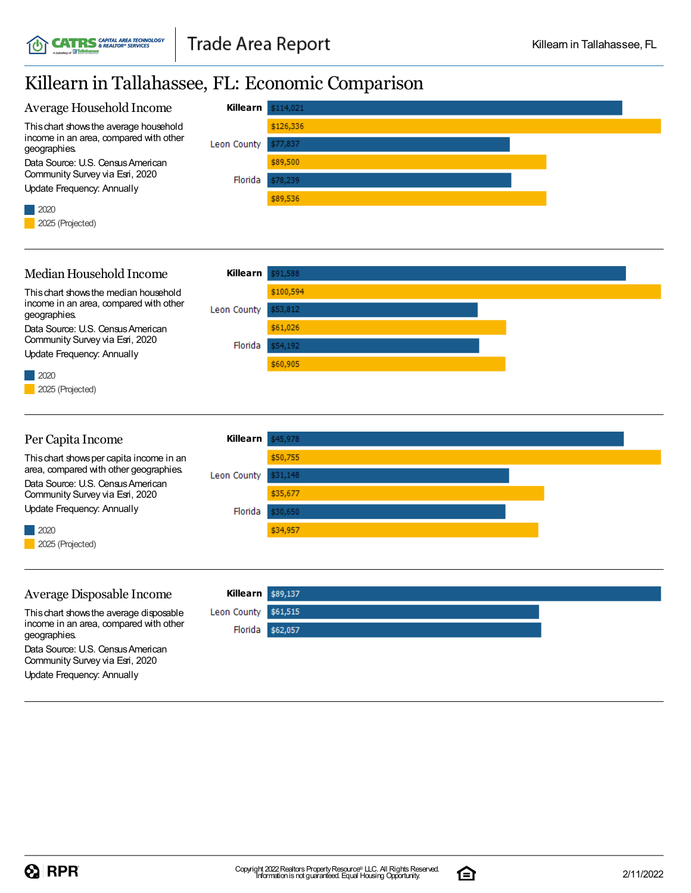# Killearn in Tallahassee, FL: Economic Comparison

**CATRS** SAPITAL AREA TECHNOLOGY



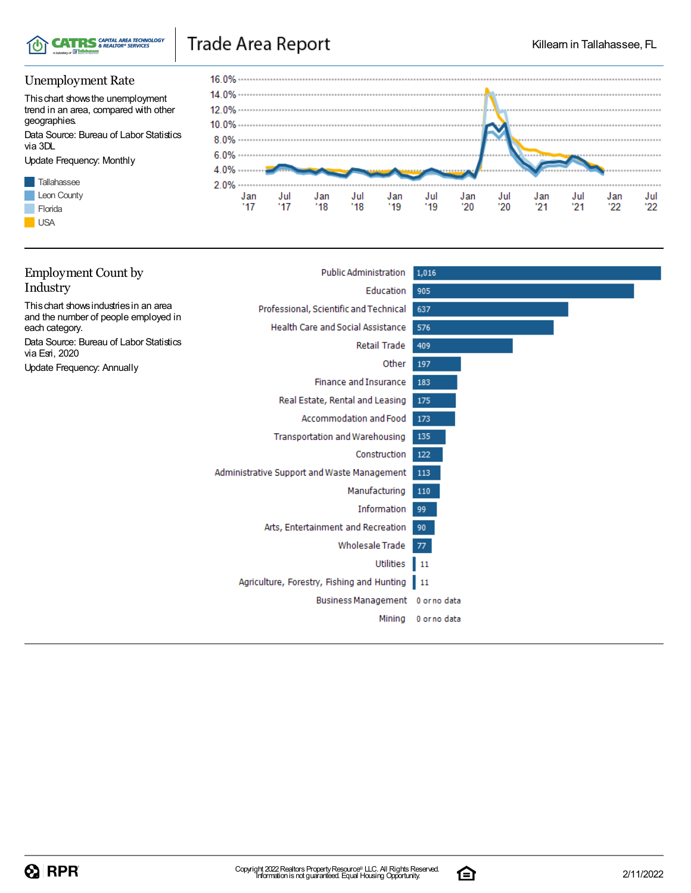

### Unemployment Rate

Thischart showsthe unemployment trend in an area, compared with other geographies.

Data Source: Bureau of Labor Statistics via 3DL

Update Frequency: Monthly





| <b>Employment Count by</b>                                                     | <b>Public Administration</b>                  | 1,016             |
|--------------------------------------------------------------------------------|-----------------------------------------------|-------------------|
| Industry                                                                       | Education                                     | 905               |
| This chart shows industries in an area<br>and the number of people employed in | Professional, Scientific and Technical        | 637               |
| each category.                                                                 | <b>Health Care and Social Assistance</b>      | 576               |
| Data Source: Bureau of Labor Statistics<br>via Esri, 2020                      | Retail Trade                                  | 409               |
| <b>Update Frequency: Annually</b>                                              | Other                                         | 197               |
|                                                                                | <b>Finance and Insurance</b>                  | 183               |
|                                                                                | Real Estate, Rental and Leasing               | 175               |
|                                                                                | Accommodation and Food                        | 173               |
|                                                                                | Transportation and Warehousing                | 135               |
|                                                                                | Construction                                  | 122               |
|                                                                                | Administrative Support and Waste Management   | 113               |
|                                                                                | Manufacturing                                 | 110               |
|                                                                                | Information                                   | 99                |
|                                                                                | Arts, Entertainment and Recreation            | 90                |
|                                                                                | <b>Wholesale Trade</b>                        | 77                |
|                                                                                | Utilities                                     | $\blacksquare$ 11 |
|                                                                                | Agriculture, Forestry, Fishing and Hunting 11 |                   |
|                                                                                | Business Management 0 or no data              |                   |
|                                                                                | Mining                                        | 0 or no data      |
|                                                                                |                                               |                   |

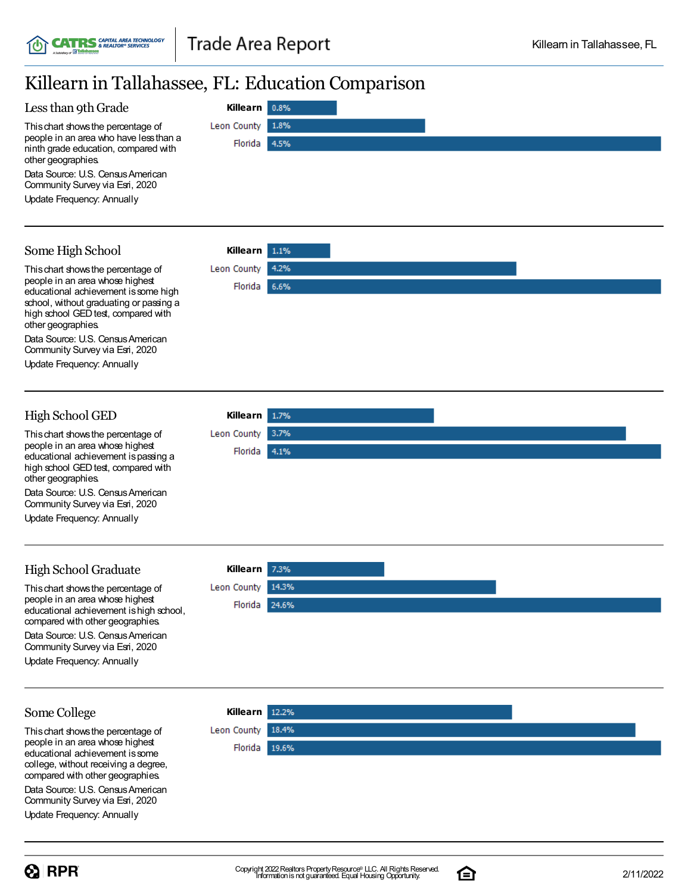**Killearn**

Florida

Leon County

 $0.8%$ 

1.8%

4.5%

1.1%

4.2%

6.6%

1.7% 3.7%

4.1%

**Killearn**

Florida

**Leon County** 

**Killearn**

Leon County Florida

## Killearn in Tallahassee, FL: Education Comparison

#### Less than 9th Grade

Thischart showsthe percentage of people in an area who have lessthan a ninth grade education, compared with other geographies.

Data Source: U.S. Census American Community Survey via Esri, 2020

Update Frequency: Annually

#### Some High School

Thischart showsthe percentage of people in an area whose highest educational achievement is some high school, without graduating or passing a high school GED test, compared with other geographies.

Data Source: U.S. Census American Community Survey via Esri, 2020

Update Frequency: Annually

#### High School GED

Thischart showsthe percentage of people in an area whose highest educational achievement ispassing a high school GED test, compared with other geographies.

Data Source: U.S. Census American Community Survey via Esri, 2020

Update Frequency: Annually

### High School Graduate

This chart shows the percentage of people in an area whose highest educational achievement ishigh school, compared with other geographies. Data Source: U.S. Census American Community Survey via Esri, 2020

Update Frequency: Annually

### **Killearn** Leon County 14.3% Florida 24.6%

#### Some College

Thischart showsthe percentage of people in an area whose highest educational achievement issome college, without receiving a degree, compared with other geographies.

Data Source: U.S. Census American Community Survey via Esri, 2020

Update Frequency: Annually





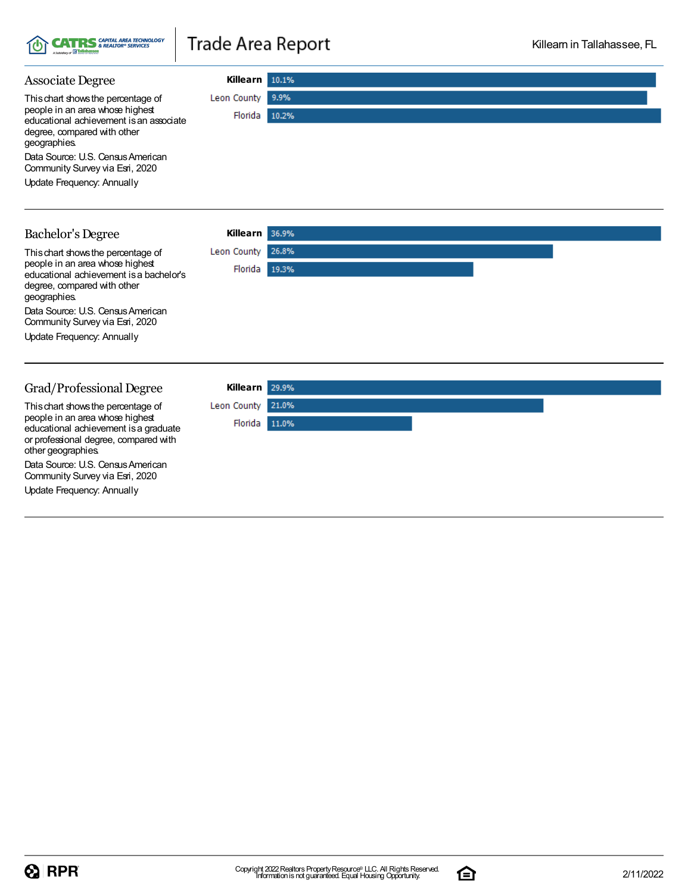

#### **Killearn** Associate Degree Leon County 9.9% Thischart showsthe percentage of people in an area whose highest Florida 10.2% educational achievement isan associate degree, compared with other geographies. Data Source: U.S. Census American Community Survey via Esri, 2020 Update Frequency: Annually **Killearn** Bachelor's Degree Thischart showsthe percentage of Leon County 26.8% people in an area whose highest Florida 19.3% educational achievement isa bachelor's degree, compared with other geographies. Data Source: U.S. Census American Community Survey via Esri, 2020 Update Frequency: Annually

#### Grad/Professional Degree

Thischart showsthe percentage of people in an area whose highest educational achievement isa graduate or professional degree, compared with other geographies.

Data Source: U.S. Census American Community Survey via Esri, 2020

Update Frequency: Annually



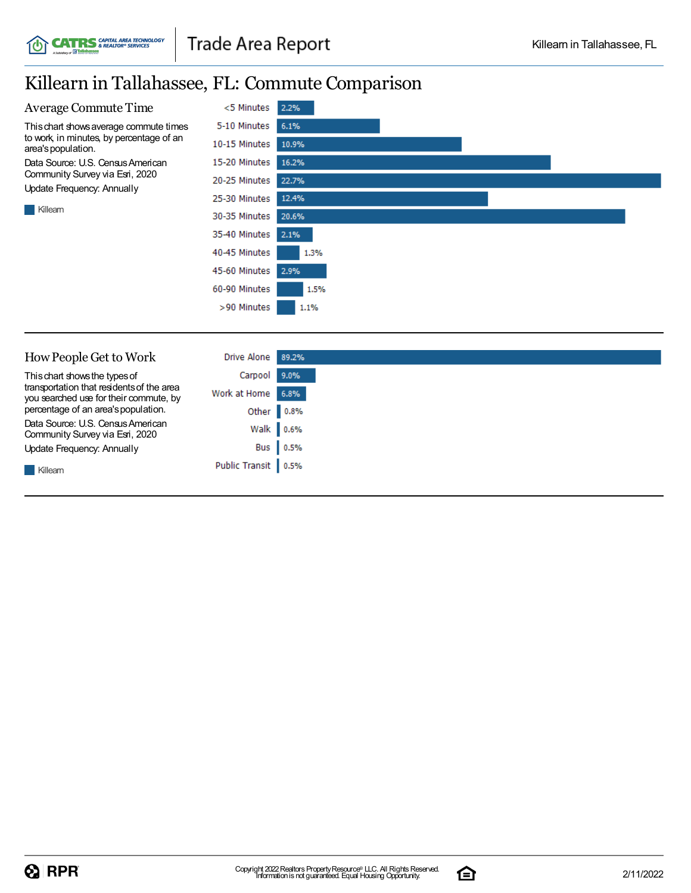# Killearn in Tallahassee, FL: Commute Comparison

**CATRS** CAPITAL AREA TECHNOLOGY

í¢

| <b>Average Commute Time</b>                                    | <5 Minutes    | 2.2%  |
|----------------------------------------------------------------|---------------|-------|
| This chart shows average commute times                         | 5-10 Minutes  | 6.1%  |
| to work, in minutes, by percentage of an<br>area's population. | 10-15 Minutes | 10.9% |
| Data Source: U.S. Census American                              | 15-20 Minutes | 16.2% |
| Community Survey via Esri, 2020<br>Update Frequency: Annually  | 20-25 Minutes | 22.7% |
|                                                                | 25-30 Minutes | 12.4% |
| Killearn                                                       | 30-35 Minutes | 20.6% |
|                                                                | 35-40 Minutes | 2.1%  |
|                                                                | 40-45 Minutes | 1.3%  |
|                                                                | 45-60 Minutes | 2.9%  |
|                                                                | 60-90 Minutes | 1.5%  |
|                                                                | >90 Minutes   | 1.1%  |
|                                                                |               |       |
|                                                                |               |       |
| How People Get to Work                                         | Drive Alone   | 89.2% |

| This chart shows the types of<br>transportation that residents of the area | Carpool 9.0%          |           |
|----------------------------------------------------------------------------|-----------------------|-----------|
| you searched use for their commute, by                                     | Work at Home 6.8%     |           |
| percentage of an area's population.                                        | Other 0.8%            |           |
| Data Source: U.S. Census American<br>Community Survey via Esri, 2020       |                       | Walk 0.6% |
| Update Frequency: Annually                                                 |                       | Bus 0.5%  |
| Killearn                                                                   | Public Transit   0.5% |           |

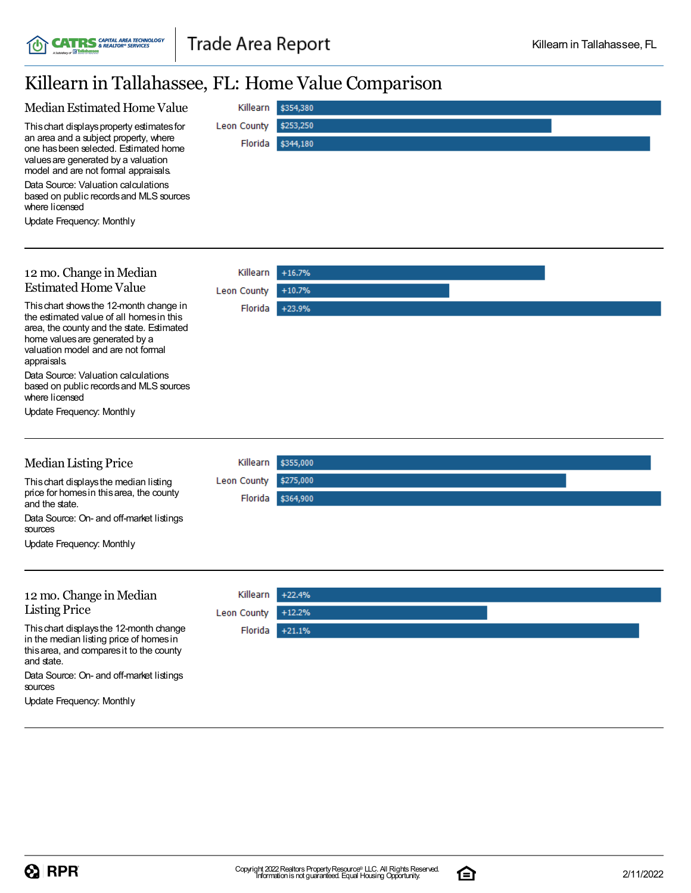# Killearn in Tallahassee, FL: Home Value Comparison

**CATRS** *CAPITAL AREA TECHNOLOGY* 

í¢

| Median Estimated Home Value                                                         | Killearn    | \$354,380 |  |
|-------------------------------------------------------------------------------------|-------------|-----------|--|
| This chart displays property estimates for                                          | Leon County | \$253,250 |  |
| an area and a subject property, where                                               | Florida     | \$344,180 |  |
| one has been selected. Estimated home<br>values are generated by a valuation        |             |           |  |
| model and are not formal appraisals.                                                |             |           |  |
| Data Source: Valuation calculations<br>based on public records and MLS sources      |             |           |  |
| where licensed                                                                      |             |           |  |
| Update Frequency: Monthly                                                           |             |           |  |
|                                                                                     |             |           |  |
|                                                                                     |             |           |  |
| 12 mo. Change in Median                                                             | Killearn    | $+16.7%$  |  |
| <b>Estimated Home Value</b>                                                         | Leon County | $+10.7%$  |  |
| This chart shows the 12-month change in<br>the estimated value of all homes in this | Florida     | +23.9%    |  |
| area, the county and the state. Estimated                                           |             |           |  |
| home values are generated by a<br>valuation model and are not formal                |             |           |  |
| appraisals.                                                                         |             |           |  |
| Data Source: Valuation calculations                                                 |             |           |  |
| based on public records and MLS sources<br>where licensed                           |             |           |  |
| <b>Update Frequency: Monthly</b>                                                    |             |           |  |
|                                                                                     |             |           |  |
|                                                                                     |             |           |  |
| <b>Median Listing Price</b>                                                         | Killearn    | \$355,000 |  |
| This chart displays the median listing                                              | Leon County | \$275,000 |  |
| price for homes in this area, the county<br>and the state.                          | Florida     | \$364,900 |  |
| Data Source: On- and off-market listings                                            |             |           |  |
| sources                                                                             |             |           |  |
| <b>Update Frequency: Monthly</b>                                                    |             |           |  |
|                                                                                     |             |           |  |
| 12 mo. Change in Median                                                             | Killearn    | $+22.4%$  |  |
| <b>Listing Price</b>                                                                | Leon County | $+12.2%$  |  |
| This chart displays the 12-month change                                             | Florida     | $+21.1%$  |  |
| in the median listing price of homes in<br>this area, and compares it to the county |             |           |  |
| and state.                                                                          |             |           |  |
| Data Source: On- and off-market listings                                            |             |           |  |
| sources<br>Update Frequency: Monthly                                                |             |           |  |
|                                                                                     |             |           |  |

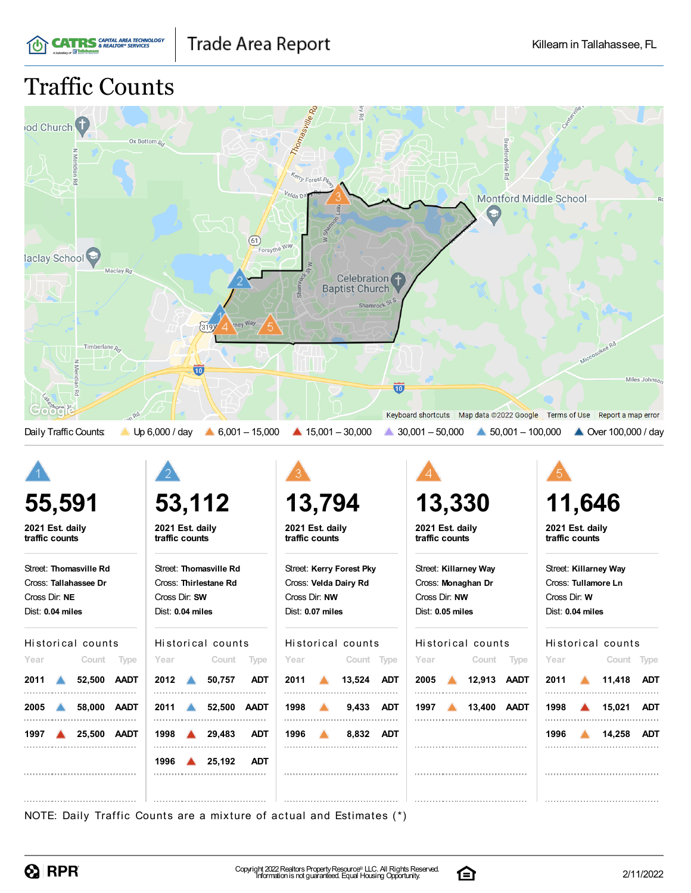

# Traffic Counts

| od Church <sup>t</sup><br>Rd<br>laclay School <sup>(2)</sup>                                | Ox Bottom R <sub>o</sub><br>(61)<br>Forsythe Way                                     | Thomasville Ro<br>Kerry Forest Pkuy<br>Velda Di                                                                 | <b>Bradfordville</b><br>정<br><b>Montford Middle School</b>                                                                    | R <sub>c</sub>                                                                   |
|---------------------------------------------------------------------------------------------|--------------------------------------------------------------------------------------|-----------------------------------------------------------------------------------------------------------------|-------------------------------------------------------------------------------------------------------------------------------|----------------------------------------------------------------------------------|
| Maclay Rd<br>Timberlane <sub>Ra</sub><br>Meridian Rd<br>Goo<br>nRd<br>Daily Traffic Counts: | rney Way<br>(319)<br>10<br>Up 6,000 / day<br>$6,001 - 15,000$                        | Celebration<br><b>Baptist Church</b><br>Shamrock St S<br>$\overline{\mathbf{w}}$<br>$\triangle$ 15,001 - 30,000 | Keyboard shortcuts Map data ©2022 Google Terms of Use Report a map error<br>$30,001 - 50,000$<br>$\triangle$ 50,001 - 100,000 | Miccosukee Rd<br>Miles Johnson<br>▲ Over 100,000 / day                           |
|                                                                                             |                                                                                      |                                                                                                                 |                                                                                                                               |                                                                                  |
| 55,591                                                                                      |                                                                                      |                                                                                                                 |                                                                                                                               |                                                                                  |
|                                                                                             | 53,112                                                                               | 13,794                                                                                                          | 13,330                                                                                                                        | 11,646                                                                           |
| 2021 Est. daily<br>traffic counts                                                           | 2021 Est. daily<br>traffic counts                                                    | 2021 Est. daily<br>traffic counts                                                                               | 2021 Est. daily<br>traffic counts                                                                                             | 2021 Est. daily<br>traffic counts                                                |
| Street: Thomasville Rd<br>Cross: Tallahassee Dr<br>Cross Dir: NE<br>Dist: 0.04 miles        | Street: Thomasville Rd<br>Cross: Thirlestane Rd<br>Cross Dir: SW<br>Dist: 0.04 miles | Street: Kerry Forest Pky<br>Cross: Velda Dairy Rd<br>Cross Dir: NW<br>Dist: 0.07 miles                          | Street: Killarney Way<br>Cross: Monaghan Dr<br>Cross Dir: NW<br>Dist: 0.05 miles                                              | Street: Killarney Way<br>Cross: Tullamore Ln<br>Cross Dir: W<br>Dist: 0.04 miles |
| Historical counts                                                                           | Historical counts                                                                    | Historical counts                                                                                               | Historical counts                                                                                                             | Historical counts                                                                |
| Year<br>Count Type<br>2011 $\triangle$<br>52,500 AADT                                       | Count Type<br>Year<br>2012<br>50,757<br><b>ADT</b>                                   | Year<br>Count Type<br>2011<br>13,524 ADT                                                                        | Count Type<br>Year<br>2005 12,913 AADT                                                                                        | Year<br>Count Type<br>2011<br>11,418 ADT                                         |

NOTE: Daily Traffic Counts are a mixture of actual and Estimates (\*)

**1998 29,483 ADT**

**1996 25,192 ADT**



**1997 25,500 AADT**

**1996 8,832 ADT**



**1996 14,258 ADT**

. . . . . . . . . . . . . . . . . . .